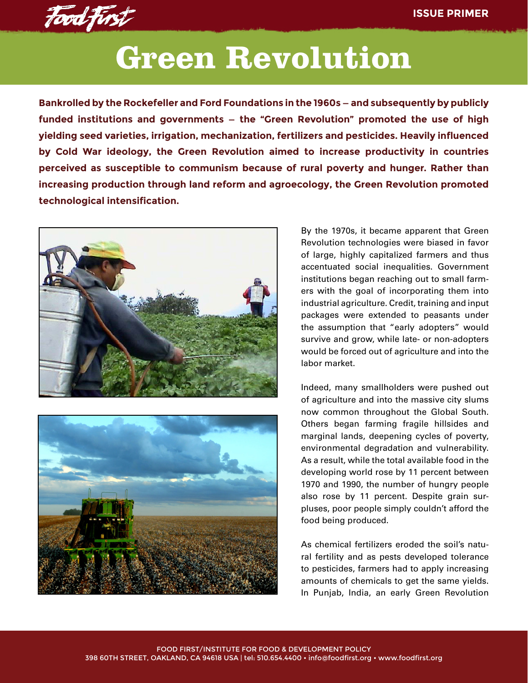

## **Green Revolution**

**Bankrolled by the Rockefeller and Ford Foundations in the 1960s — and subsequently by publicly funded institutions and governments — the "Green Revolution" promoted the use of high yielding seed varieties, irrigation, mechanization, fertilizers and pesticides. Heavily influenced by Cold War ideology, the Green Revolution aimed to increase productivity in countries perceived as susceptible to communism because of rural poverty and hunger. Rather than increasing production through land reform and agroecology, the Green Revolution promoted technological intensification.** 





By the 1970s, it became apparent that Green Revolution technologies were biased in favor of large, highly capitalized farmers and thus accentuated social inequalities. Government institutions began reaching out to small farmers with the goal of incorporating them into industrial agriculture. Credit, training and input packages were extended to peasants under the assumption that "early adopters" would survive and grow, while late- or non-adopters would be forced out of agriculture and into the labor market.

Indeed, many smallholders were pushed out of agriculture and into the massive city slums now common throughout the Global South. Others began farming fragile hillsides and marginal lands, deepening cycles of poverty, environmental degradation and vulnerability. As a result, while the total available food in the developing world rose by 11 percent between 1970 and 1990, the number of hungry people also rose by 11 percent. Despite grain surpluses, poor people simply couldn't afford the food being produced.

As chemical fertilizers eroded the soil's natural fertility and as pests developed tolerance to pesticides, farmers had to apply increasing amounts of chemicals to get the same yields. In Punjab, India, an early Green Revolution